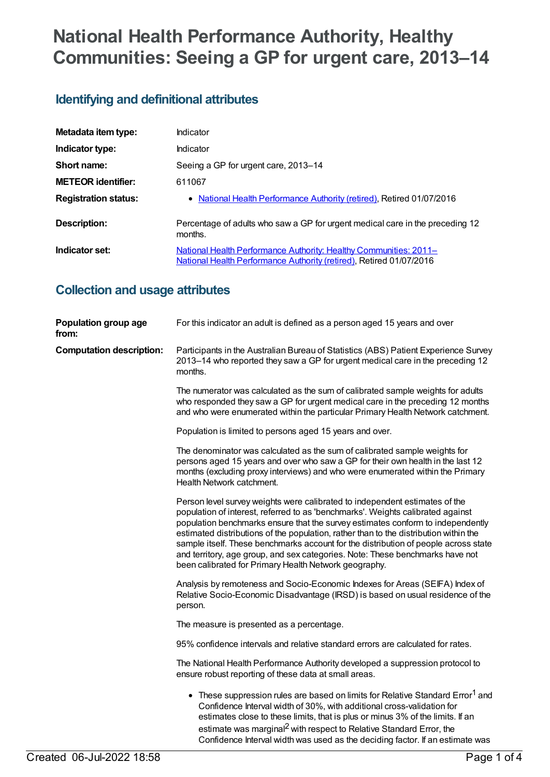# **National Health Performance Authority, Healthy Communities: Seeing a GP for urgent care, 2013–14**

### **Identifying and definitional attributes**

| Metadata item type:         | Indicator                                                                                                                                |
|-----------------------------|------------------------------------------------------------------------------------------------------------------------------------------|
| Indicator type:             | Indicator                                                                                                                                |
| Short name:                 | Seeing a GP for urgent care, 2013-14                                                                                                     |
| <b>METEOR identifier:</b>   | 611067                                                                                                                                   |
| <b>Registration status:</b> | • National Health Performance Authority (retired), Retired 01/07/2016                                                                    |
| <b>Description:</b>         | Percentage of adults who saw a GP for urgent medical care in the preceding 12<br>months.                                                 |
| Indicator set:              | National Health Performance Authority: Healthy Communities: 2011-<br>National Health Performance Authority (retired), Retired 01/07/2016 |

#### **Collection and usage attributes**

| Population group age<br>from:   | For this indicator an adult is defined as a person aged 15 years and over                                                                                                                                                                                                                                                                                                                                                                                                                                                                                                   |
|---------------------------------|-----------------------------------------------------------------------------------------------------------------------------------------------------------------------------------------------------------------------------------------------------------------------------------------------------------------------------------------------------------------------------------------------------------------------------------------------------------------------------------------------------------------------------------------------------------------------------|
| <b>Computation description:</b> | Participants in the Australian Bureau of Statistics (ABS) Patient Experience Survey<br>2013–14 who reported they saw a GP for urgent medical care in the preceding 12<br>months.                                                                                                                                                                                                                                                                                                                                                                                            |
|                                 | The numerator was calculated as the sum of calibrated sample weights for adults<br>who responded they saw a GP for urgent medical care in the preceding 12 months<br>and who were enumerated within the particular Primary Health Network catchment.                                                                                                                                                                                                                                                                                                                        |
|                                 | Population is limited to persons aged 15 years and over.                                                                                                                                                                                                                                                                                                                                                                                                                                                                                                                    |
|                                 | The denominator was calculated as the sum of calibrated sample weights for<br>persons aged 15 years and over who saw a GP for their own health in the last 12<br>months (excluding proxy interviews) and who were enumerated within the Primary<br>Health Network catchment.                                                                                                                                                                                                                                                                                                |
|                                 | Person level survey weights were calibrated to independent estimates of the<br>population of interest, referred to as 'benchmarks'. Weights calibrated against<br>population benchmarks ensure that the survey estimates conform to independently<br>estimated distributions of the population, rather than to the distribution within the<br>sample itself. These benchmarks account for the distribution of people across state<br>and territory, age group, and sex categories. Note: These benchmarks have not<br>been calibrated for Primary Health Network geography. |
|                                 | Analysis by remoteness and Socio-Economic Indexes for Areas (SEIFA) Index of<br>Relative Socio-Economic Disadvantage (IRSD) is based on usual residence of the<br>person.                                                                                                                                                                                                                                                                                                                                                                                                   |
|                                 | The measure is presented as a percentage.                                                                                                                                                                                                                                                                                                                                                                                                                                                                                                                                   |
|                                 | 95% confidence intervals and relative standard errors are calculated for rates.                                                                                                                                                                                                                                                                                                                                                                                                                                                                                             |
|                                 | The National Health Performance Authority developed a suppression protocol to<br>ensure robust reporting of these data at small areas.                                                                                                                                                                                                                                                                                                                                                                                                                                      |
|                                 | • These suppression rules are based on limits for Relative Standard Error <sup>1</sup> and<br>Confidence Interval width of 30%, with additional cross-validation for<br>estimates close to these limits, that is plus or minus 3% of the limits. If an<br>estimate was marginal <sup>2</sup> with respect to Relative Standard Error, the<br>Confidence Interval width was used as the deciding factor. If an estimate was                                                                                                                                                  |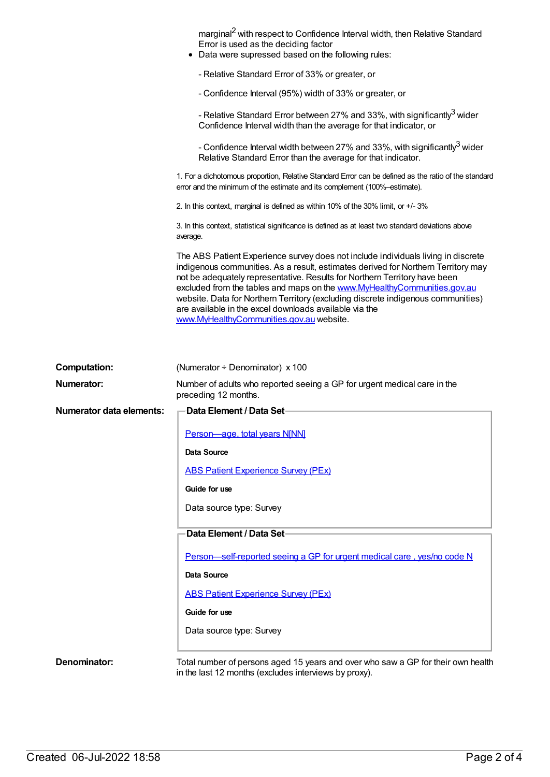|                                 | marginal <sup>2</sup> with respect to Confidence Interval width, then Relative Standard<br>Error is used as the deciding factor<br>Data were supressed based on the following rules:                                                                                                                                                                                                                                                                                                                                       |  |
|---------------------------------|----------------------------------------------------------------------------------------------------------------------------------------------------------------------------------------------------------------------------------------------------------------------------------------------------------------------------------------------------------------------------------------------------------------------------------------------------------------------------------------------------------------------------|--|
|                                 | - Relative Standard Error of 33% or greater, or                                                                                                                                                                                                                                                                                                                                                                                                                                                                            |  |
|                                 | - Confidence Interval (95%) width of 33% or greater, or                                                                                                                                                                                                                                                                                                                                                                                                                                                                    |  |
|                                 | - Relative Standard Error between 27% and 33%, with significantly <sup>3</sup> wider<br>Confidence Interval width than the average for that indicator, or                                                                                                                                                                                                                                                                                                                                                                  |  |
|                                 | - Confidence Interval width between 27% and 33%, with significantly <sup>3</sup> wider<br>Relative Standard Error than the average for that indicator.                                                                                                                                                                                                                                                                                                                                                                     |  |
|                                 | 1. For a dichotomous proportion, Relative Standard Error can be defined as the ratio of the standard<br>error and the minimum of the estimate and its complement (100%-estimate).                                                                                                                                                                                                                                                                                                                                          |  |
|                                 | 2. In this context, marginal is defined as within 10% of the 30% limit, or +/- 3%                                                                                                                                                                                                                                                                                                                                                                                                                                          |  |
|                                 | 3. In this context, statistical significance is defined as at least two standard deviations above<br>average.                                                                                                                                                                                                                                                                                                                                                                                                              |  |
|                                 | The ABS Patient Experience survey does not include individuals living in discrete<br>indigenous communities. As a result, estimates derived for Northern Territory may<br>not be adequately representative. Results for Northern Territory have been<br>excluded from the tables and maps on the www.MyHealthyCommunities.gov.au<br>website. Data for Northern Territory (excluding discrete indigenous communities)<br>are available in the excel downloads available via the<br>www.MyHealthyCommunities.gov.au website. |  |
| <b>Computation:</b>             | (Numerator ÷ Denominator) x 100                                                                                                                                                                                                                                                                                                                                                                                                                                                                                            |  |
| Numerator:                      | Number of adults who reported seeing a GP for urgent medical care in the                                                                                                                                                                                                                                                                                                                                                                                                                                                   |  |
|                                 | preceding 12 months.                                                                                                                                                                                                                                                                                                                                                                                                                                                                                                       |  |
| <b>Numerator data elements:</b> | Data Element / Data Set                                                                                                                                                                                                                                                                                                                                                                                                                                                                                                    |  |
|                                 | Person-age, total years N[NN]                                                                                                                                                                                                                                                                                                                                                                                                                                                                                              |  |
|                                 | Data Source                                                                                                                                                                                                                                                                                                                                                                                                                                                                                                                |  |
|                                 | <b>ABS Patient Experience Survey (PEx)</b>                                                                                                                                                                                                                                                                                                                                                                                                                                                                                 |  |
|                                 | Guide for use                                                                                                                                                                                                                                                                                                                                                                                                                                                                                                              |  |
|                                 | Data source type: Survey                                                                                                                                                                                                                                                                                                                                                                                                                                                                                                   |  |
|                                 | Data Element / Data Set-                                                                                                                                                                                                                                                                                                                                                                                                                                                                                                   |  |
|                                 | Person—self-reported seeing a GP for urgent medical care, yes/no code N                                                                                                                                                                                                                                                                                                                                                                                                                                                    |  |
|                                 | <b>Data Source</b>                                                                                                                                                                                                                                                                                                                                                                                                                                                                                                         |  |
|                                 | <b>ABS Patient Experience Survey (PEx)</b>                                                                                                                                                                                                                                                                                                                                                                                                                                                                                 |  |
|                                 | Guide for use                                                                                                                                                                                                                                                                                                                                                                                                                                                                                                              |  |
|                                 | Data source type: Survey                                                                                                                                                                                                                                                                                                                                                                                                                                                                                                   |  |
|                                 |                                                                                                                                                                                                                                                                                                                                                                                                                                                                                                                            |  |
|                                 |                                                                                                                                                                                                                                                                                                                                                                                                                                                                                                                            |  |